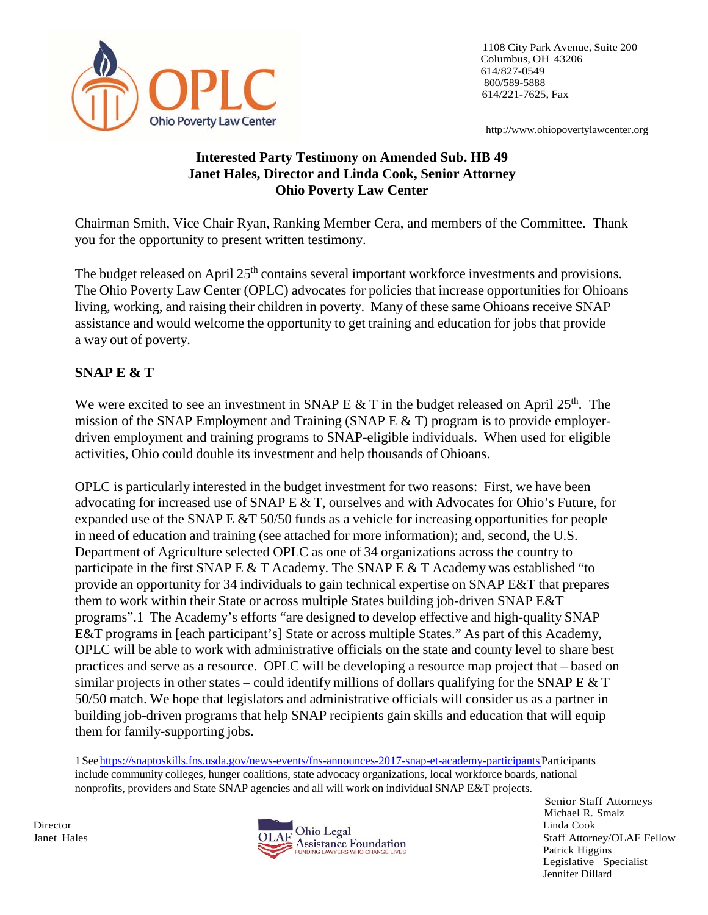

1108 City Park Avenue, Suite 200 Columbus, OH 43206 614/827-0549 800/589-5888 614/221-7625, Fax

[http://www.ohiopovertylawcenter.org](http://www.ohiopovertylawcenter.org/)

### **Interested Party Testimony on Amended Sub. HB 49 Janet Hales, Director and Linda Cook, Senior Attorney Ohio Poverty Law Center**

Chairman Smith, Vice Chair Ryan, Ranking Member Cera, and members of the Committee. Thank you for the opportunity to present written testimony.

The budget released on April 25<sup>th</sup> contains several important workforce investments and provisions. The Ohio Poverty Law Center (OPLC) advocates for policies that increase opportunities for Ohioans living, working, and raising their children in poverty. Many of these same Ohioans receive SNAP assistance and would welcome the opportunity to get training and education for jobs that provide a way out of poverty.

### **SNAP E & T**

We were excited to see an investment in SNAP E & T in the budget released on April  $25<sup>th</sup>$ . The mission of the SNAP Employment and Training (SNAP E  $&$  T) program is to provide employerdriven employment and training programs to SNAP-eligible individuals. When used for eligible activities, Ohio could double its investment and help thousands of Ohioans.

OPLC is particularly interested in the budget investment for two reasons: First, we have been advocating for increased use of SNAP E  $&$  T, ourselves and with Advocates for Ohio's Future, for expanded use of the SNAP E  $&T$  50/50 funds as a vehicle for increasing opportunities for people in need of education and training (see attached for more information); and, second, the U.S. Department of Agriculture selected OPLC as one of 34 organizations across the country to participate in the first SNAP E  $&$  T Academy. The SNAP E  $&$  T Academy was established "to provide an opportunity for 34 individuals to gain technical expertise on SNAP E&T that prepares them to work within their State or across multiple States building job-driven SNAP E&T programs".1 The Academy's efforts "are designed to develop effective and high-quality SNAP E&T programs in [each participant's] State or across multiple States." As part of this Academy, OPLC will be able to work with administrative officials on the state and county level to share best practices and serve as a resource. OPLC will be developing a resource map project that – based on similar projects in other states – could identify millions of dollars qualifying for the SNAP E  $&$  T 50/50 match. We hope that legislators and administrative officials will consider us as a partner in building job-driven programs that help SNAP recipients gain skills and education that will equip them for family-supporting jobs.

1 See https://snaptoskills.fns.usda.gov/news-events/fns-announces-2017-snap-et-academy-participants Participants include community colleges, hunger coalitions, state advocacy organizations, local workforce boards, national nonprofits, providers and State SNAP agencies and all will work on individual SNAP E&T projects.



Senior Staff Attorneys Michael R. Smalz Patrick Higgins Legislative Specialist Jennifer Dillard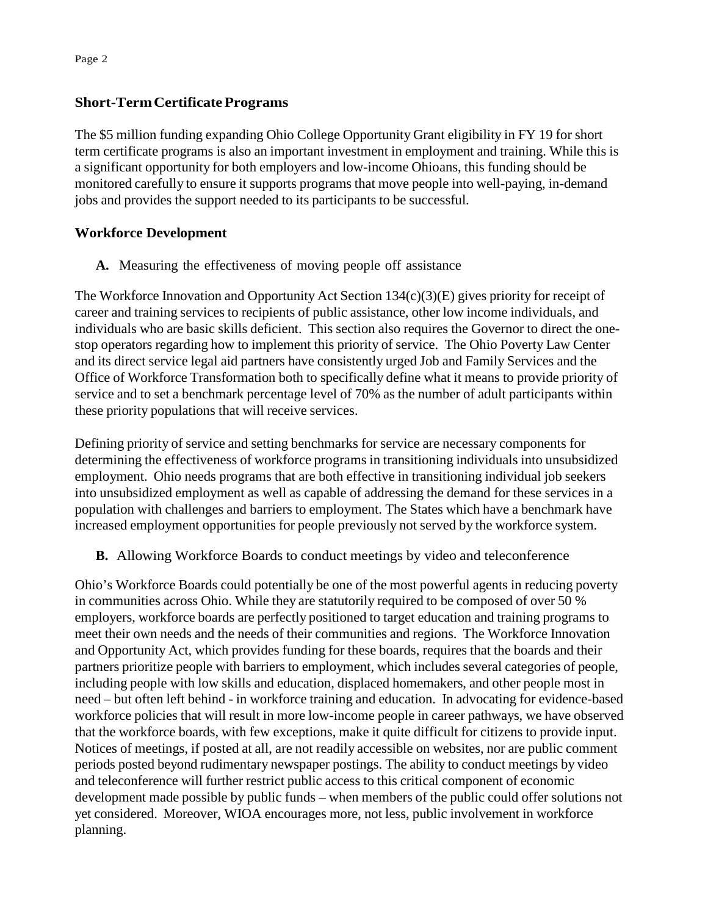#### **Short-TermCertificatePrograms**

The \$5 million funding expanding Ohio College Opportunity Grant eligibility in FY 19 for short term certificate programs is also an important investment in employment and training. While this is a significant opportunity for both employers and low-income Ohioans, this funding should be monitored carefully to ensure it supports programs that move people into well-paying, in-demand jobs and provides the support needed to its participants to be successful.

### **Workforce Development**

**A.** Measuring the effectiveness of moving people off assistance

The Workforce Innovation and Opportunity Act Section  $134(c)(3)(E)$  gives priority for receipt of career and training services to recipients of public assistance, other low income individuals, and individuals who are basic skills deficient. This section also requires the Governor to direct the onestop operators regarding how to implement this priority of service. The Ohio Poverty Law Center and its direct service legal aid partners have consistently urged Job and Family Services and the Office of Workforce Transformation both to specifically define what it means to provide priority of service and to set a benchmark percentage level of 70% as the number of adult participants within these priority populations that will receive services.

Defining priority of service and setting benchmarks for service are necessary components for determining the effectiveness of workforce programs in transitioning individuals into unsubsidized employment. Ohio needs programs that are both effective in transitioning individual job seekers into unsubsidized employment as well as capable of addressing the demand for these services in a population with challenges and barriers to employment. The States which have a benchmark have increased employment opportunities for people previously not served by the workforce system.

**B.** Allowing Workforce Boards to conduct meetings by video and teleconference

Ohio's Workforce Boards could potentially be one of the most powerful agents in reducing poverty in communities across Ohio. While they are statutorily required to be composed of over 50 % employers, workforce boards are perfectly positioned to target education and training programs to meet their own needs and the needs of their communities and regions. The Workforce Innovation and Opportunity Act, which provides funding for these boards, requires that the boards and their partners prioritize people with barriers to employment, which includes several categories of people, including people with low skills and education, displaced homemakers, and other people most in need – but often left behind - in workforce training and education. In advocating for evidence-based workforce policies that will result in more low-income people in career pathways, we have observed that the workforce boards, with few exceptions, make it quite difficult for citizens to provide input. Notices of meetings, if posted at all, are not readily accessible on websites, nor are public comment periods posted beyond rudimentary newspaper postings. The ability to conduct meetings by video and teleconference will further restrict public access to this critical component of economic development made possible by public funds – when members of the public could offer solutions not yet considered. Moreover, WIOA encourages more, not less, public involvement in workforce planning.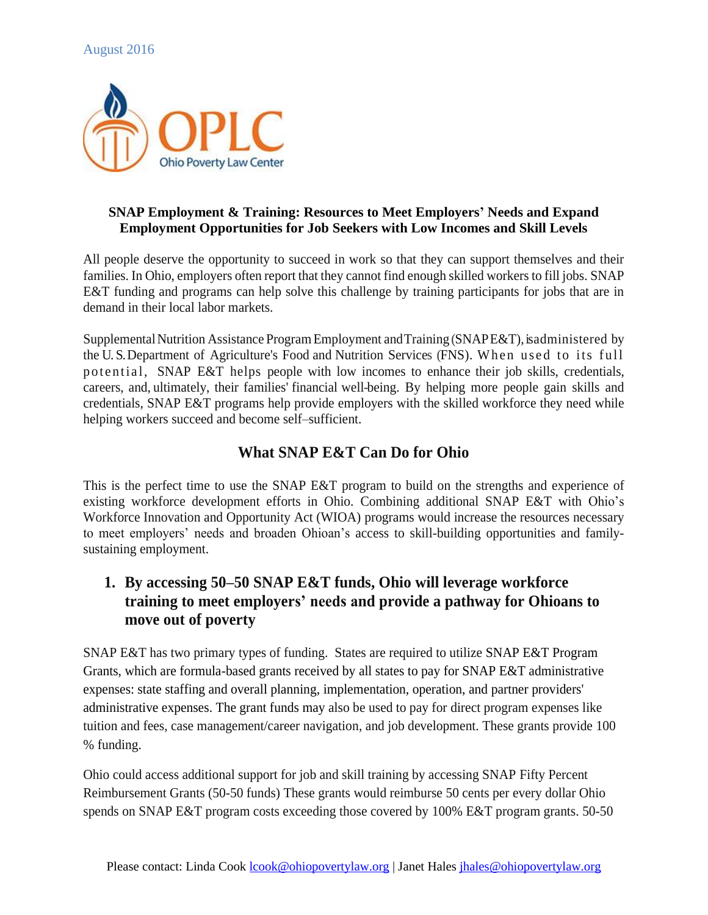

#### **SNAP Employment & Training: Resources to Meet Employers' Needs and Expand Employment Opportunities for Job Seekers with Low Incomes and Skill Levels**

All people deserve the opportunity to succeed in work so that they can support themselves and their families. In Ohio, employers often report that they cannot find enough skilled workers to fill jobs. SNAP E&T funding and programs can help solve this challenge by training participants for jobs that are in demand in their local labor markets.

Supplemental Nutrition Assistance Program Employment and Training (SNAPE&T), is administered by the U.S. Department of Agriculture's Food and Nutrition Services (FNS). When used to its full po tential, SNAP E&T helps people with low incomes to enhance their job skills, credentials, careers, and, ultimately, their families' financial well-being. By helping more people gain skills and credentials, SNAP E&T programs help provide employers with the skilled workforce they need while helping workers succeed and become self–sufficient.

# **What SNAP E&T Can Do for Ohio**

This is the perfect time to use the SNAP E&T program to build on the strengths and experience of existing workforce development efforts in Ohio. Combining additional SNAP E&T with Ohio's Workforce Innovation and Opportunity Act (WIOA) programs would increase the resources necessary to meet employers' needs and broaden Ohioan's access to skill-building opportunities and familysustaining employment.

# **1. By accessing 50–50 SNAP E&T funds, Ohio will leverage workforce training to meet employers' needs and provide a pathway for Ohioans to move out of poverty**

SNAP E&T has two primary types of funding. States are required to utilize SNAP E&T Program Grants, which are formula-based grants received by all states to pay for SNAP E&T administrative expenses: state staffing and overall planning, implementation, operation, and partner providers' administrative expenses. The grant funds may also be used to pay for direct program expenses like tuition and fees, case management/career navigation, and job development. These grants provide 100 % funding.

Ohio could access additional support for job and skill training by accessing SNAP Fifty Percent Reimbursement Grants (50-50 funds) These grants would reimburse 50 cents per every dollar Ohio spends on SNAP E&T program costs exceeding those covered by 100% E&T program grants. 50-50